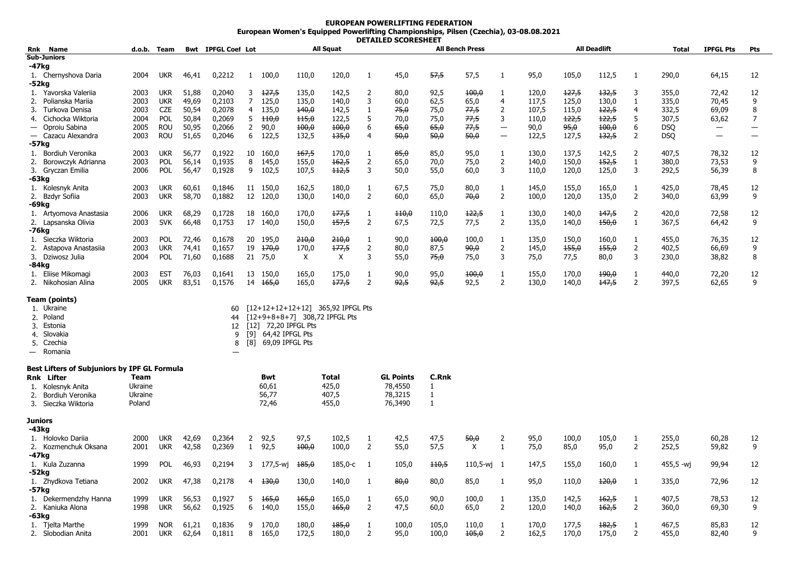## **EUROPEAN POWERLIFTING FEDERATION European Women's Equipped Powerlifting Championships, Pilsen (Czechia), 03-08.08.2021 DETAILED SCORESHEET**

| Rnk            | Name                                                                                        |              | d.o.b. Team              |                | <b>Bwt</b> IPFGL Coef Lot |                |                                                                    |                | All Squat                                                          |                |                  |                         | <b>All Bench Press</b>    |                          |                |                | <b>All Deadlift</b> |                | <b>Total</b>   | <b>IPFGL Pts</b>  | Pts                      |
|----------------|---------------------------------------------------------------------------------------------|--------------|--------------------------|----------------|---------------------------|----------------|--------------------------------------------------------------------|----------------|--------------------------------------------------------------------|----------------|------------------|-------------------------|---------------------------|--------------------------|----------------|----------------|---------------------|----------------|----------------|-------------------|--------------------------|
|                | <b>Sub-Juniors</b>                                                                          |              |                          |                |                           |                |                                                                    |                |                                                                    |                |                  |                         |                           |                          |                |                |                     |                |                |                   |                          |
| -47kg          |                                                                                             |              |                          |                |                           |                |                                                                    |                |                                                                    |                |                  |                         |                           |                          |                |                |                     |                |                |                   |                          |
| -52kg          | 1. Chernyshova Daria                                                                        | 2004         | <b>UKR</b>               | 46,41          | 0,2212                    |                | 1 100,0                                                            | 110,0          | 120,0                                                              | 1              | 45,0             | 57,5                    | 57,5                      | 1                        | 95,0           | 105,0          | 112,5               | 1              | 290,0          | 64,15             | 12                       |
|                | 1. Yavorska Valeriia                                                                        | 2003         | <b>UKR</b>               | 51,88          | 0,2040                    | 3              | 127,5                                                              | 135,0          | 142,5                                                              | 2              | 80,0             | 92,5                    | 400,0                     | -1                       | 120,0          | 127,5          | 132,5               | 3              | 355,0          | 72,42             | 12                       |
|                | 2. Polianska Marija                                                                         | 2003         | <b>UKR</b>               | 49,69          | 0,2103                    | 7              | 125,0                                                              | 135,0          | 140,0                                                              | 3              | 60,0             | 62,5                    | 65,0                      | $\overline{4}$           | 117,5          | 125,0          | 130,0               | 1              | 335,0          | 70,45             | 9                        |
| 3.             | Turkova Denisa                                                                              | 2003         | <b>CZE</b>               | 50,54          | 0,2078                    | $\overline{4}$ | 135,0                                                              | 140,0          | 142,5                                                              | $\mathbf{1}$   | 75,0             | 75,0                    | 77,5                      | $\overline{2}$           | 107,5          | 115,0          | 122,5               | $\overline{4}$ | 332,5          | 69,09             | 8                        |
| 4.             | Cichocka Wiktoria                                                                           | 2004         | POL                      | 50,84          | 0,2069                    | 5              | 110,0                                                              | 115,0          | 122,5                                                              | 5              | 70,0             | 75,0                    | 77,5                      | 3                        | 110,0          | 122,5          | 122,5               | 5              | 307,5          | 63,62             | 7                        |
|                | Oproiu Sabina                                                                               | 2005         | <b>ROU</b>               | 50,95          | 0,2066                    | $\overline{2}$ | 90,0                                                               | 100,0          | 100,0                                                              | 6              | 65,0             | 65,0                    | 77,5                      |                          | 90,0           | 95,0           | 100,0               | 6              | <b>DSQ</b>     |                   |                          |
|                | — Cazacu Alexandra                                                                          | 2003         | <b>ROU</b>               | 51,65          | 0,2046                    | 6              | 122,5                                                              | 132,5          | 135,0                                                              | 4              | 50,0             | 50,0                    | 50,0                      | $\overline{\phantom{0}}$ | 122,5          | 127,5          | 132,5               | 2              | <b>DSQ</b>     | $\qquad \qquad -$ | $\overline{\phantom{0}}$ |
| -57kg          |                                                                                             |              |                          |                |                           |                |                                                                    |                |                                                                    |                |                  |                         |                           |                          |                |                |                     |                |                |                   |                          |
|                | 1. Bordiuh Veronika                                                                         | 2003         | <b>UKR</b>               | 56,77          | 0,1922                    |                | 10 160,0                                                           | 167,5          | 170,0                                                              | $\mathbf{1}$   | 85,0             | 85,0                    | 95,0                      | 1                        | 130,0          | 137,5          | 142,5               | $\overline{2}$ | 407,5          | 78,32             | 12                       |
|                | 2. Borowczyk Adrianna                                                                       | 2003         | <b>POL</b>               | 56,14          | 0,1935                    | 8              | 145,0                                                              | 155,0          | 162,5                                                              | $\overline{2}$ | 65,0             | 70,0                    | 75,0                      | 2                        | 140,0          | 150.0          | 152,5               | 1              | 380,0          | 73,53             | 9                        |
|                | 3. Gryczan Emilia                                                                           | 2006         | <b>POL</b>               | 56,47          | 0,1928                    |                | 9 102,5                                                            | 107,5          | 112,5                                                              | 3              | 50,0             | 55,0                    | 60,0                      | 3                        | 110,0          | 120,0          | 125,0               | 3              | 292,5          | 56,39             | 8                        |
| -63kg          |                                                                                             |              |                          |                |                           |                |                                                                    |                |                                                                    |                |                  |                         |                           |                          |                |                |                     |                |                |                   |                          |
|                | 1. Kolesnyk Anita                                                                           | 2003         | <b>UKR</b>               | 60,61          | 0,1846                    |                | 11 150,0                                                           | 162,5          | 180,0                                                              | 1              | 67,5             | 75,0                    | 80,0                      | 1                        | 145,0          | 155,0          | 165,0               | 1              | 425,0          | 78,45             | 12                       |
|                | 2. Bzdyr Sofiia                                                                             | 2003         | <b>UKR</b>               | 58,70          | 0,1882                    |                | 12 120,0                                                           | 130,0          | 140,0                                                              | $\overline{2}$ | 60,0             | 65,0                    | 70,0                      | 2                        | 100,0          | 120,0          | 135,0               | $\overline{2}$ | 340,0          | 63,99             | 9                        |
| -69kg          |                                                                                             |              |                          |                |                           |                |                                                                    |                |                                                                    |                |                  |                         |                           |                          |                |                |                     |                |                |                   |                          |
|                | 1. Artyomova Anastasia                                                                      | 2006         | <b>UKR</b>               | 68,29          | 0,1728                    |                | 18 160,0                                                           | 170,0          | 177,5                                                              | $\mathbf{1}$   | 110,0            | 110,0                   | 122,5                     | $\mathbf{1}$             | 130,0          | 140,0          | 147,5               | $\overline{2}$ | 420,0          | 72,58             | 12                       |
|                | 2. Lapsanska Olivia                                                                         | 2003         | <b>SVK</b>               | 66,48          | 0,1753                    |                | 17 140,0                                                           | 150,0          | 157,5                                                              | $\overline{2}$ | 67,5             | 72,5                    | 77,5                      | 2                        | 135,0          | 140,0          | 450,0               | 1              | 367,5          | 64,42             | 9                        |
| -76kg          |                                                                                             |              |                          |                |                           |                |                                                                    |                |                                                                    |                |                  |                         |                           |                          |                |                |                     |                |                |                   |                          |
|                | 1. Sieczka Wiktoria                                                                         | 2003         | <b>POL</b>               | 72,46          | 0,1678                    |                | 20 195,0                                                           | 210,0          | 210,0                                                              | $\mathbf{1}$   | 90,0             | 100,0                   | 100,0                     | 1                        | 135,0          | 150,0          | 160,0               | 1              | 455,0          | 76,35             | 12                       |
|                | 2. Astapova Anastasija                                                                      | 2003         | <b>UKR</b>               | 74,41          | 0,1657                    |                | $19 + 170,0$                                                       | 170,0          | 177,5                                                              | 2              | 80,0             | 87,5                    | 90,0                      | $\overline{2}$           | 145,0          | 155,0          | 155,0               | 2              | 402,5          | 66,69             | 9                        |
|                | 3. Dziwosz Julia                                                                            | 2004         | POL                      | 71,60          | 0,1688                    |                | 21 75,0                                                            | X              | Χ                                                                  | 3              | 55,0             | 75,0                    | 75,0                      | 3                        | 75,0           | 77,5           | 80,0                | 3              | 230,0          | 38,82             | 8                        |
| -84kg          |                                                                                             |              |                          |                |                           |                |                                                                    |                |                                                                    |                |                  |                         |                           |                          |                |                |                     |                |                |                   |                          |
|                | 1. Eliise Mikomagi<br>2. Nikohosian Alina                                                   | 2003<br>2005 | <b>EST</b><br><b>UKR</b> | 76,03<br>83,51 | 0,1641<br>0,1576          |                | 13 150,0<br>14 <del>165,0</del>                                    | 165,0<br>165,0 | 175,0<br>177,5                                                     | 1<br>2         | 90,0<br>92,5     | 95,0<br><del>92,5</del> | 100,0<br>92,5             | 1<br>2                   | 155,0<br>130,0 | 170,0<br>140,0 | 190,0<br>147,5      | 1<br>2         | 440,0<br>397,5 | 72,20<br>62,65    | 12<br>9                  |
| 4.             | Team (points)<br>1. Ukraine<br>2. Poland<br>3. Estonia<br>Slovakia<br>5. Czechia<br>Romania |              |                          |                | 60<br>44<br>12<br>9<br>8  |                | [12] 72,20 IPFGL Pts<br>[9] 64,42 IPFGL Pts<br>[8] 69,09 IPFGL Pts |                | [12+12+12+12+12] 365,92 IPFGL Pts<br>[12+9+8+8+7] 308,72 IPFGL Pts |                |                  |                         |                           |                          |                |                |                     |                |                |                   |                          |
|                |                                                                                             |              |                          |                |                           |                |                                                                    |                |                                                                    |                |                  |                         |                           |                          |                |                |                     |                |                |                   |                          |
|                | <b>Best Lifters of Subjuniors by IPF GL Formula</b><br><b>Rnk Lifter</b>                    | <b>Team</b>  |                          |                |                           |                | <b>Bwt</b>                                                         |                | <b>Total</b>                                                       |                | <b>GL Points</b> | <b>C.Rnk</b>            |                           |                          |                |                |                     |                |                |                   |                          |
|                | 1. Kolesnyk Anita                                                                           | Ukraine      |                          |                |                           |                | 60,61                                                              |                | 425,0                                                              |                | 78,4550          | 1                       |                           |                          |                |                |                     |                |                |                   |                          |
| 2.             | Bordiuh Veronika                                                                            | Ukraine      |                          |                |                           |                | 56,77                                                              |                | 407.5                                                              |                | 78,3215          | 1                       |                           |                          |                |                |                     |                |                |                   |                          |
| 3.             | Sieczka Wiktoria                                                                            | Poland       |                          |                |                           |                | 72,46                                                              |                | 455,0                                                              |                | 76,3490          | 1                       |                           |                          |                |                |                     |                |                |                   |                          |
| <b>Juniors</b> |                                                                                             |              |                          |                |                           |                |                                                                    |                |                                                                    |                |                  |                         |                           |                          |                |                |                     |                |                |                   |                          |
| -43kg          |                                                                                             |              |                          |                |                           |                |                                                                    |                |                                                                    |                |                  |                         |                           |                          |                |                |                     |                |                |                   |                          |
|                | 1. Holovko Dariia                                                                           | 2000         | <b>UKR</b>               | 42,69          | 0,2364                    | $\overline{2}$ | 92,5                                                               | 97,5           | 102,5                                                              | 1              | 42,5             | 47,5                    | 50,0                      | 2                        | 95,0           | 100,0          | 105,0               | 1              | 255,0          | 60,28             | 12                       |
|                | 2. Kozmenchuk Oksana                                                                        | 2001         | <b>UKR</b>               | 42,58          | 0,2369                    | $\mathbf{1}$   | 92,5                                                               | 400,0          | 100,0                                                              | 2              | 55,0             | 57,5                    | $\boldsymbol{\mathsf{X}}$ | 1                        | 75,0           | 85,0           | 95,0                | 2              | 252,5          | 59,82             | 9                        |
| -47kg          |                                                                                             |              |                          |                |                           |                |                                                                    |                |                                                                    |                |                  |                         |                           |                          |                |                |                     |                |                |                   |                          |
|                | 1. Kula Zuzanna                                                                             | 1999         | <b>POL</b>               | 46,93          | 0,2194                    |                | 3 177,5-wj                                                         | 185,0          | 185,0-с                                                            | $\overline{1}$ | 105,0            | <del>110,5</del>        | $110,5-wj$ 1              |                          | 147,5          | 155,0          | 160,0               | 1              | 455,5 -wj      | 99,94             | 12                       |
| -52kg          |                                                                                             |              |                          |                |                           |                |                                                                    |                |                                                                    |                |                  |                         |                           |                          |                |                |                     |                |                |                   |                          |
|                | 1. Zhydkova Tetiana                                                                         | 2002         | <b>UKR</b>               | 47,38          | 0,2178                    |                | $4 + 130,0$                                                        | 130,0          | 140,0                                                              | 1              | 80,0             | 80,0                    | 85,0                      | 1                        | 95,0           | 110,0          | 120,0               | 1              | 335,0          | 72,96             | 12                       |
| -57kg          |                                                                                             |              |                          |                |                           |                |                                                                    |                |                                                                    |                |                  |                         |                           |                          |                |                |                     |                |                |                   |                          |
|                | 1. Dekermendzhy Hanna                                                                       | 1999         | <b>UKR</b>               | 56,53          | 0,1927                    |                | $5 \quad 165,0$                                                    | 165,0          | 165,0                                                              | $\mathbf{1}$   | 65,0             | 90,0                    | 100.0                     | 1                        | 135,0          | 142,5          | 162,5               | 1              | 407,5          | 78,53             | 12<br>9                  |
| -63kg          | 2. Kaniuka Alona                                                                            | 1998         | <b>UKR</b>               | 56,62          | 0,1925                    |                | 6 140,0                                                            | 155,0          | 165,0                                                              | $\overline{2}$ | 47,5             | 60,0                    | 65,0                      | 2                        | 120,0          | 140,0          | 162,5               | 2              | 360,0          | 69,30             |                          |
|                | 1. Tjelta Marthe                                                                            | 1999         | <b>NOR</b>               | 61,21          | 0,1836                    |                | 9 170,0                                                            | 180,0          | 185,0                                                              | 1              | 100,0            | 105,0                   | 110,0                     | $\mathbf{1}$             | 170,0          | 177,5          | 182,5               | 1              | 467,5          | 85,83             | 12                       |
| 2.             | Slobodian Anita                                                                             | 2001         | <b>UKR</b>               | 62.64          | 0.1811                    |                | 8 165,0                                                            | 172,5          | 180.0                                                              | $\overline{2}$ | 95,0             | 100.0                   | 105.0                     | $\overline{2}$           | 162,5          | 170,0          | 175,0               | 2              | 455.0          | 82,40             | 9                        |